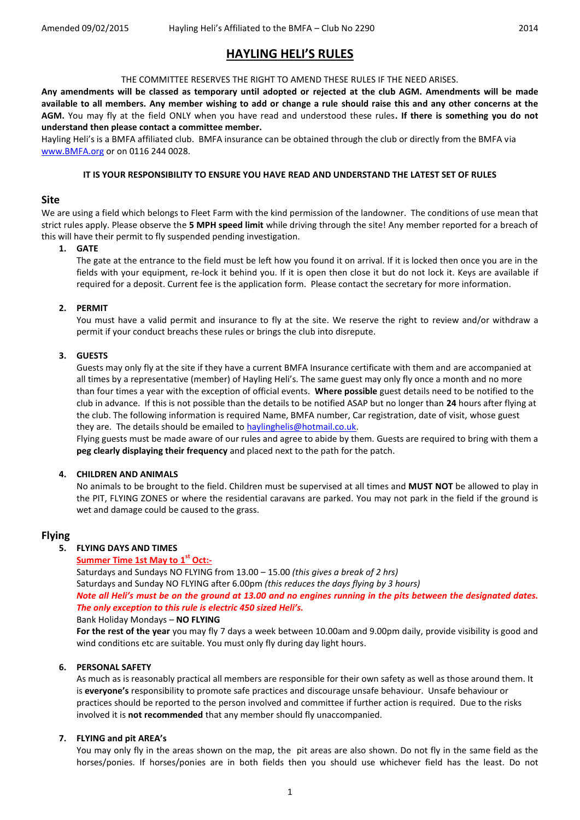# **HAYLING HELI'S RULES**

# THE COMMITTEE RESERVES THE RIGHT TO AMEND THESE RULES IF THE NEED ARISES.

**Any amendments will be classed as temporary until adopted or rejected at the club AGM. Amendments will be made available to all members. Any member wishing to add or change a rule should raise this and any other concerns at the AGM.** You may fly at the field ONLY when you have read and understood these rules**. If there is something you do not understand then please contact a committee member.** 

Hayling Heli's is a BMFA affiliated club. BMFA insurance can be obtained through the club or directly from the BMFA via [www.BMFA.org](http://www.bmfa.org/) or on 0116 244 0028.

#### **IT IS YOUR RESPONSIBILITY TO ENSURE YOU HAVE READ AND UNDERSTAND THE LATEST SET OF RULES**

# **Site**

We are using a field which belongs to Fleet Farm with the kind permission of the landowner. The conditions of use mean that strict rules apply. Please observe the **5 MPH speed limit** while driving through the site! Any member reported for a breach of this will have their permit to fly suspended pending investigation.

#### **1. GATE**

The gate at the entrance to the field must be left how you found it on arrival. If it is locked then once you are in the fields with your equipment, re-lock it behind you. If it is open then close it but do not lock it. Keys are available if required for a deposit. Current fee is the application form. Please contact the secretary for more information.

# **2. PERMIT**

You must have a valid permit and insurance to fly at the site. We reserve the right to review and/or withdraw a permit if your conduct breachs these rules or brings the club into disrepute.

# **3. GUESTS**

Guests may only fly at the site if they have a current BMFA Insurance certificate with them and are accompanied at all times by a representative (member) of Hayling Heli's. The same guest may only fly once a month and no more than four times a year with the exception of official events. **Where possible** guest details need to be notified to the club in advance. If this is not possible than the details to be notified ASAP but no longer than **24** hours after flying at the club. The following information is required Name, BMFA number, Car registration, date of visit, whose guest they are. The details should be emailed t[o haylinghelis@hotmail.co.uk.](mailto:haylinghelis@hotmail.co.uk)

Flying guests must be made aware of our rules and agree to abide by them. Guests are required to bring with them a **peg clearly displaying their frequency** and placed next to the path for the patch.

#### **4. CHILDREN AND ANIMALS**

No animals to be brought to the field. Children must be supervised at all times and **MUST NOT** be allowed to play in the PIT, FLYING ZONES or where the residential caravans are parked. You may not park in the field if the ground is wet and damage could be caused to the grass.

# **Flying**

# **5. FLYING DAYS AND TIMES**

# **Summer Time 1st May to 1<sup>st</sup> Oct:-**

Saturdays and Sundays NO FLYING from 13.00 – 15.00 *(this gives a break of 2 hrs)* Saturdays and Sunday NO FLYING after 6.00pm *(this reduces the days flying by 3 hours) Note all Heli's must be on the ground at 13.00 and no engines running in the pits between the designated dates. The only exception to this rule is electric 450 sized Heli's.*

#### Bank Holiday Mondays – **NO FLYING**

**For the rest of the year** you may fly 7 days a week between 10.00am and 9.00pm daily, provide visibility is good and wind conditions etc are suitable. You must only fly during day light hours.

# **6. PERSONAL SAFETY**

As much as is reasonably practical all members are responsible for their own safety as well as those around them. It is **everyone's** responsibility to promote safe practices and discourage unsafe behaviour. Unsafe behaviour or practices should be reported to the person involved and committee if further action is required. Due to the risks involved it is **not recommended** that any member should fly unaccompanied.

# **7. FLYING and pit AREA's**

You may only fly in the areas shown on the map, the pit areas are also shown. Do not fly in the same field as the horses/ponies. If horses/ponies are in both fields then you should use whichever field has the least. Do not